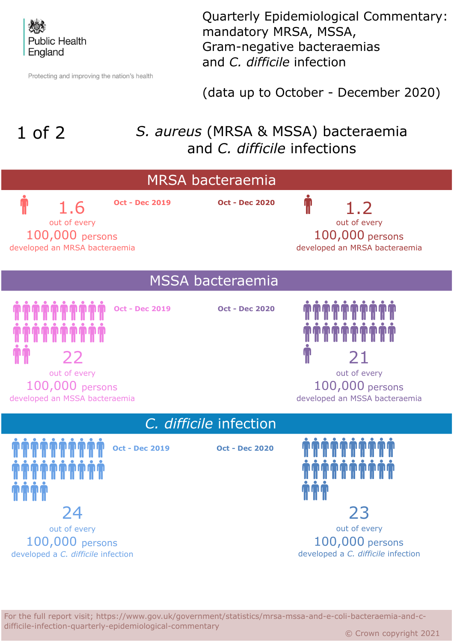

Protecting and improving the nation's health

Quarterly Epidemiological Commentary: mandatory MRSA, MSSA, Gram-negative bacteraemias and *C. difficile* infection

(data up to October - December 2020)

## 1 of 2

## *S. aureus* (MRSA & MSSA) bacteraemia and *C. difficile* infections



For the full report visit; https://www.gov.uk/government/statistics/mrsa-mssa-and-e-coli-bacteraemia-and-cdifficile-infection-quarterly-epidemiological-commentary